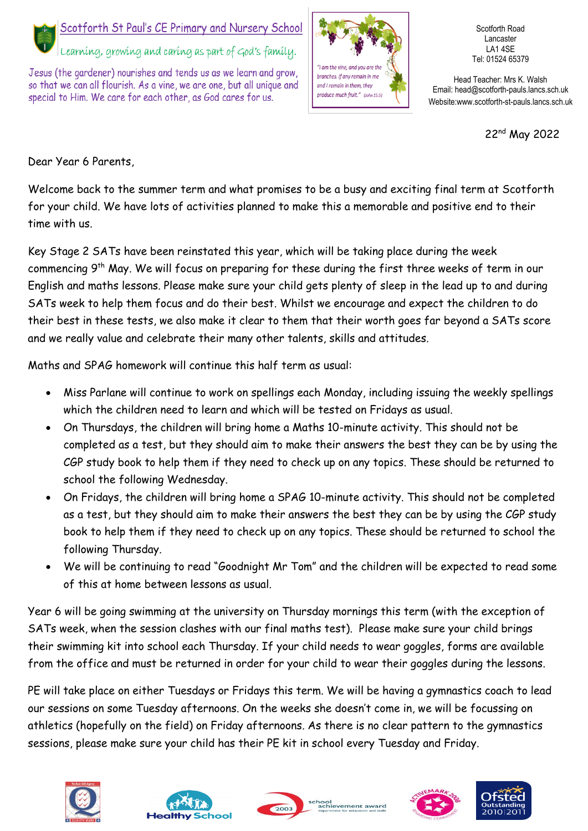

## Scotforth St Paul's CE Primary and Nursery School

Learníng, growing and caring as part of God's family.

Jesus (the gardener) nourishes and tends us as we learn and grow. so that we can all flourish. As a vine, we are one, but all unique and special to Him. We care for each other, as God cares for us.



Scotforth Road Lancaster LA1 4SE Tel: 01524 65379

Head Teacher: Mrs K. Walsh Email: head@scotforth-pauls.lancs.sch.uk Website:www.scotforth-st-pauls.lancs.sch.uk

22nd May 2022

Dear Year 6 Parents,

Welcome back to the summer term and what promises to be a busy and exciting final term at Scotforth for your child. We have lots of activities planned to make this a memorable and positive end to their time with us.

Key Stage 2 SATs have been reinstated this year, which will be taking place during the week commencing 9th May. We will focus on preparing for these during the first three weeks of term in our English and maths lessons. Please make sure your child gets plenty of sleep in the lead up to and during SATs week to help them focus and do their best. Whilst we encourage and expect the children to do their best in these tests, we also make it clear to them that their worth goes far beyond a SATs score and we really value and celebrate their many other talents, skills and attitudes.

Maths and SPAG homework will continue this half term as usual:

- Miss Parlane will continue to work on spellings each Monday, including issuing the weekly spellings which the children need to learn and which will be tested on Fridays as usual.
- On Thursdays, the children will bring home a Maths 10-minute activity. This should not be completed as a test, but they should aim to make their answers the best they can be by using the CGP study book to help them if they need to check up on any topics. These should be returned to school the following Wednesday.
- On Fridays, the children will bring home a SPAG 10-minute activity. This should not be completed as a test, but they should aim to make their answers the best they can be by using the CGP study book to help them if they need to check up on any topics. These should be returned to school the following Thursday.
- We will be continuing to read "Goodnight Mr Tom" and the children will be expected to read some of this at home between lessons as usual.

Year 6 will be going swimming at the university on Thursday mornings this term (with the exception of SATs week, when the session clashes with our final maths test). Please make sure your child brings their swimming kit into school each Thursday. If your child needs to wear goggles, forms are available from the office and must be returned in order for your child to wear their goggles during the lessons.

PE will take place on either Tuesdays or Fridays this term. We will be having a gymnastics coach to lead our sessions on some Tuesday afternoons. On the weeks she doesn't come in, we will be focussing on athletics (hopefully on the field) on Friday afternoons. As there is no clear pattern to the gymnastics sessions, please make sure your child has their PE kit in school every Tuesday and Friday.